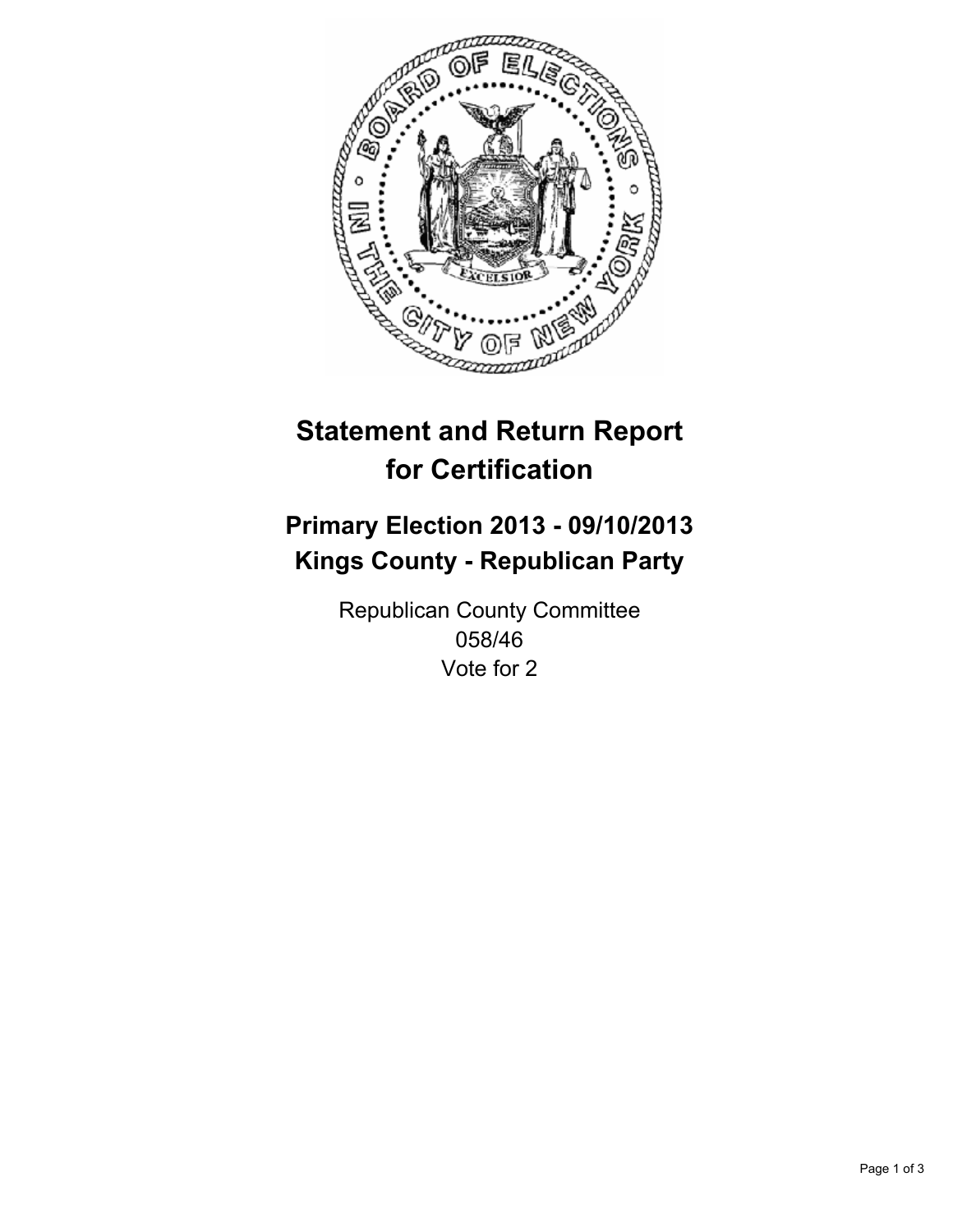

# **Statement and Return Report for Certification**

# **Primary Election 2013 - 09/10/2013 Kings County - Republican Party**

Republican County Committee 058/46 Vote for 2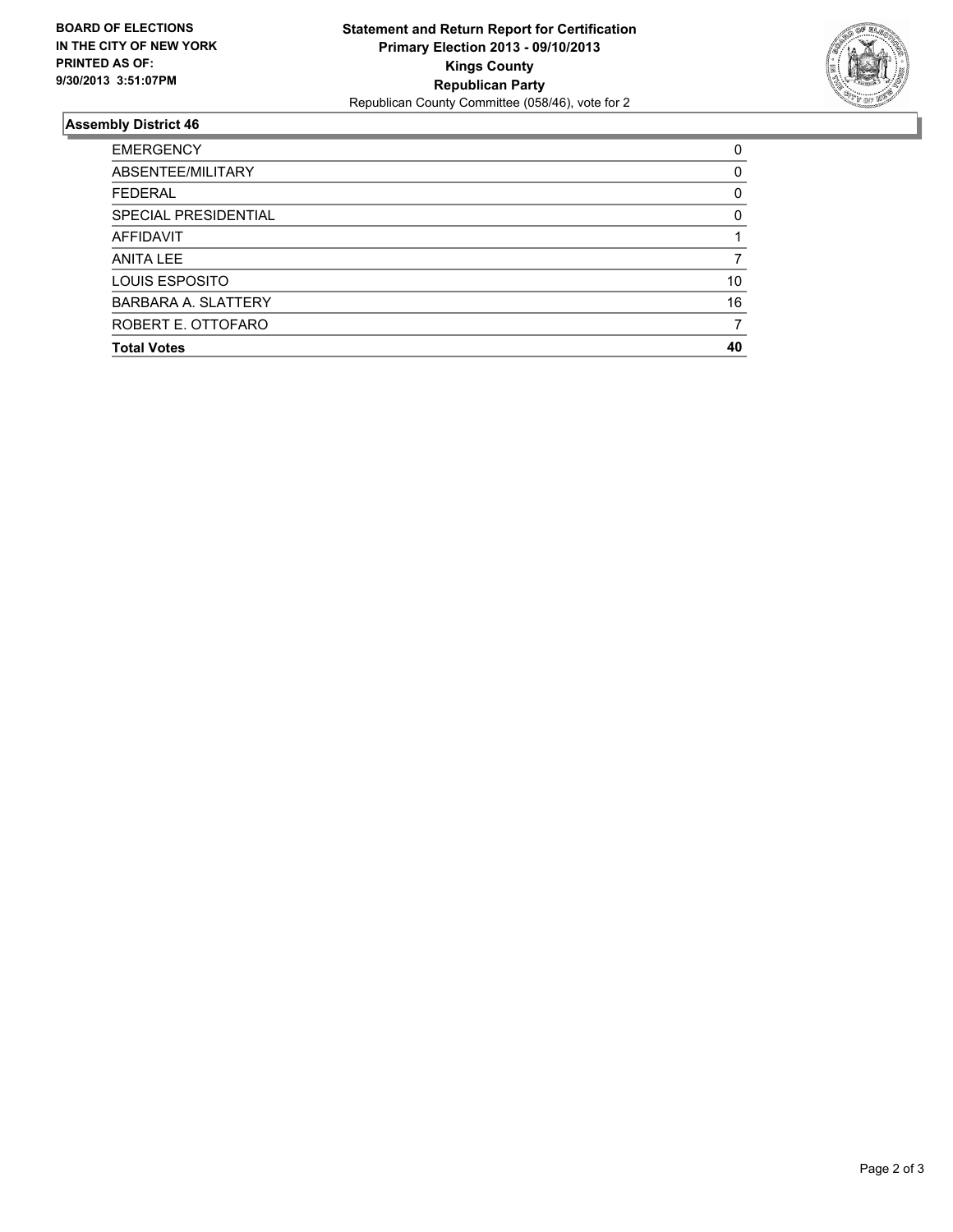

## **Assembly District 46**

| <b>EMERGENCY</b>           | 0        |
|----------------------------|----------|
| ABSENTEE/MILITARY          | $\Omega$ |
| <b>FEDERAL</b>             | 0        |
| SPECIAL PRESIDENTIAL       | $\Omega$ |
| AFFIDAVIT                  |          |
| <b>ANITA LEE</b>           |          |
| LOUIS ESPOSITO             | 10       |
| <b>BARBARA A. SLATTERY</b> | 16       |
| ROBERT E. OTTOFARO         |          |
| <b>Total Votes</b>         | 40       |